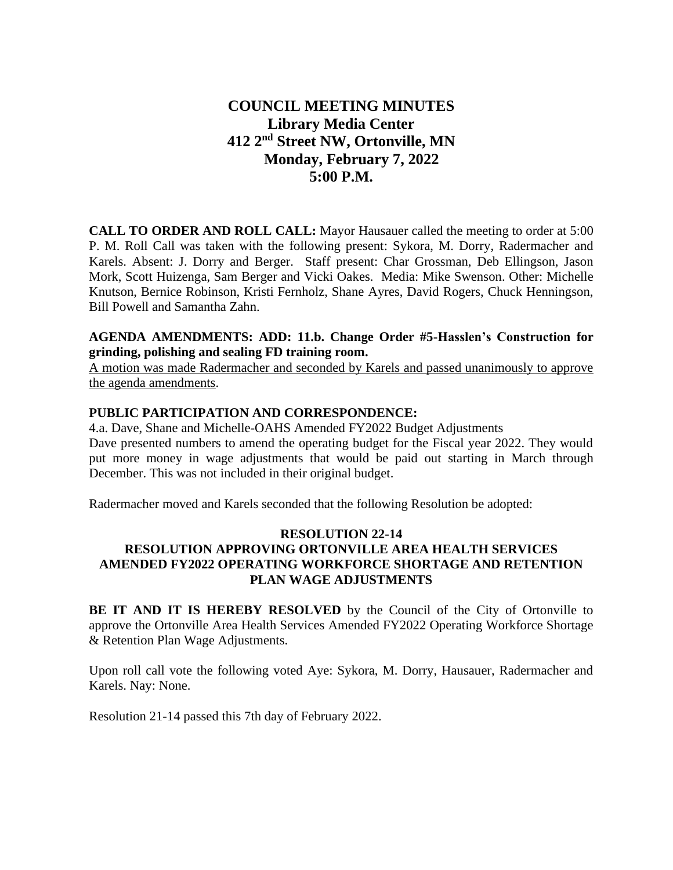# **COUNCIL MEETING MINUTES Library Media Center 412 2nd Street NW, Ortonville, MN Monday, February 7, 2022 5:00 P.M.**

**CALL TO ORDER AND ROLL CALL:** Mayor Hausauer called the meeting to order at 5:00 P. M. Roll Call was taken with the following present: Sykora, M. Dorry, Radermacher and Karels. Absent: J. Dorry and Berger. Staff present: Char Grossman, Deb Ellingson, Jason Mork, Scott Huizenga, Sam Berger and Vicki Oakes. Media: Mike Swenson. Other: Michelle Knutson, Bernice Robinson, Kristi Fernholz, Shane Ayres, David Rogers, Chuck Henningson, Bill Powell and Samantha Zahn.

## **AGENDA AMENDMENTS: ADD: 11.b. Change Order #5-Hasslen's Construction for grinding, polishing and sealing FD training room.**

A motion was made Radermacher and seconded by Karels and passed unanimously to approve the agenda amendments.

### **PUBLIC PARTICIPATION AND CORRESPONDENCE:**

4.a. Dave, Shane and Michelle-OAHS Amended FY2022 Budget Adjustments Dave presented numbers to amend the operating budget for the Fiscal year 2022. They would put more money in wage adjustments that would be paid out starting in March through December. This was not included in their original budget.

Radermacher moved and Karels seconded that the following Resolution be adopted:

# **RESOLUTION 22-14 RESOLUTION APPROVING ORTONVILLE AREA HEALTH SERVICES AMENDED FY2022 OPERATING WORKFORCE SHORTAGE AND RETENTION PLAN WAGE ADJUSTMENTS**

**BE IT AND IT IS HEREBY RESOLVED** by the Council of the City of Ortonville to approve the Ortonville Area Health Services Amended FY2022 Operating Workforce Shortage & Retention Plan Wage Adjustments.

Upon roll call vote the following voted Aye: Sykora, M. Dorry, Hausauer, Radermacher and Karels. Nay: None.

Resolution 21-14 passed this 7th day of February 2022.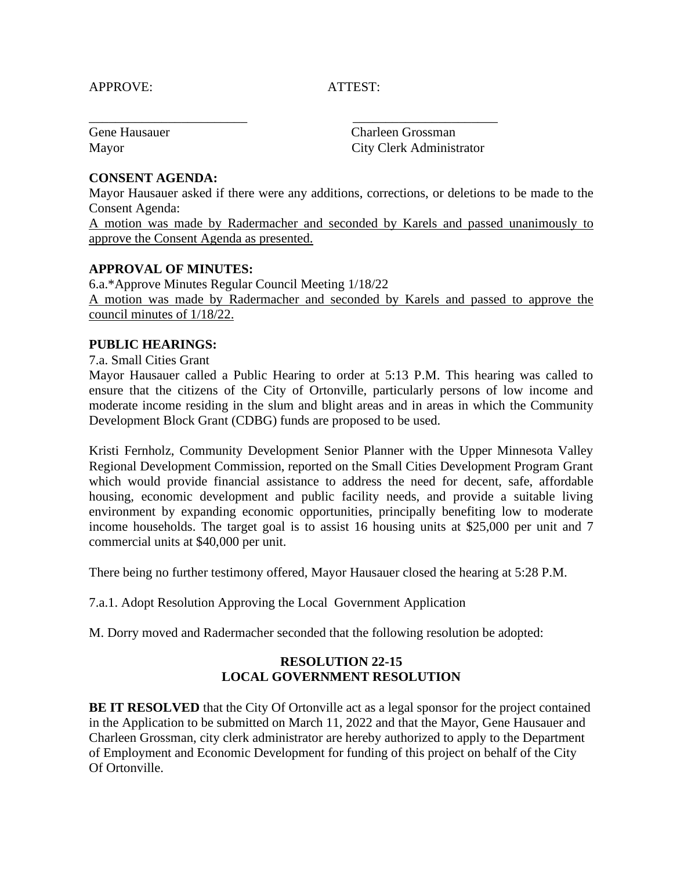#### APPROVE: ATTEST:

Gene Hausauer Charleen Grossman Mayor City Clerk Administrator

# **CONSENT AGENDA:**

Mayor Hausauer asked if there were any additions, corrections, or deletions to be made to the Consent Agenda:

\_\_\_\_\_\_\_\_\_\_\_\_\_\_\_\_\_\_\_\_\_\_\_\_ \_\_\_\_\_\_\_\_\_\_\_\_\_\_\_\_\_\_\_\_\_\_

A motion was made by Radermacher and seconded by Karels and passed unanimously to approve the Consent Agenda as presented.

### **APPROVAL OF MINUTES:**

6.a.\*Approve Minutes Regular Council Meeting 1/18/22 A motion was made by Radermacher and seconded by Karels and passed to approve the council minutes of 1/18/22.

### **PUBLIC HEARINGS:**

7.a. Small Cities Grant

Mayor Hausauer called a Public Hearing to order at 5:13 P.M. This hearing was called to ensure that the citizens of the City of Ortonville, particularly persons of low income and moderate income residing in the slum and blight areas and in areas in which the Community Development Block Grant (CDBG) funds are proposed to be used.

Kristi Fernholz, Community Development Senior Planner with the Upper Minnesota Valley Regional Development Commission, reported on the Small Cities Development Program Grant which would provide financial assistance to address the need for decent, safe, affordable housing, economic development and public facility needs, and provide a suitable living environment by expanding economic opportunities, principally benefiting low to moderate income households. The target goal is to assist 16 housing units at \$25,000 per unit and 7 commercial units at \$40,000 per unit.

There being no further testimony offered, Mayor Hausauer closed the hearing at 5:28 P.M.

7.a.1. Adopt Resolution Approving the Local Government Application

M. Dorry moved and Radermacher seconded that the following resolution be adopted:

# **RESOLUTION 22-15 LOCAL GOVERNMENT RESOLUTION**

**BE IT RESOLVED** that the City Of Ortonville act as a legal sponsor for the project contained in the Application to be submitted on March 11, 2022 and that the Mayor, Gene Hausauer and Charleen Grossman, city clerk administrator are hereby authorized to apply to the Department of Employment and Economic Development for funding of this project on behalf of the City Of Ortonville.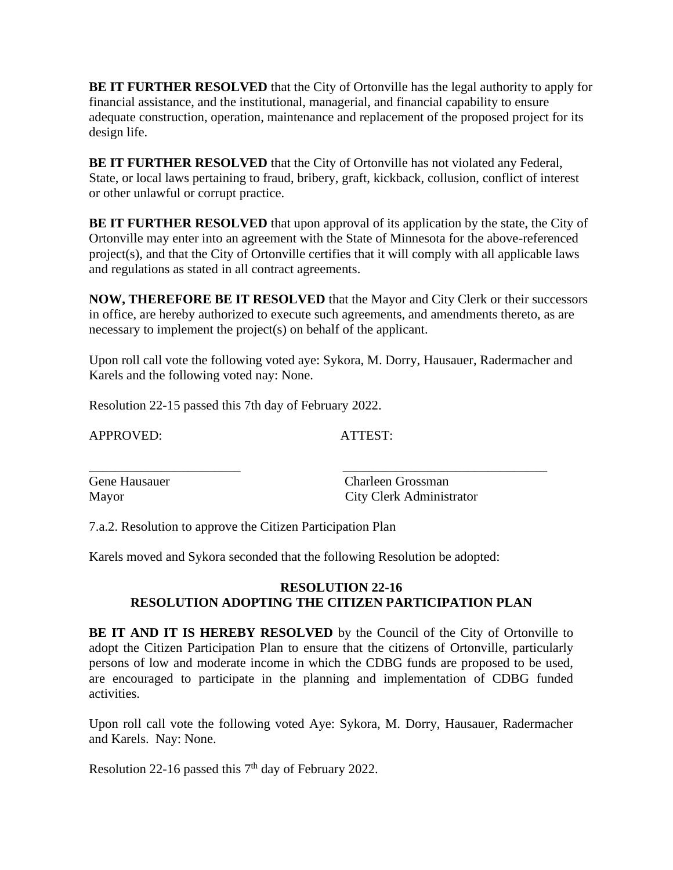**BE IT FURTHER RESOLVED** that the City of Ortonville has the legal authority to apply for financial assistance, and the institutional, managerial, and financial capability to ensure adequate construction, operation, maintenance and replacement of the proposed project for its design life.

**BE IT FURTHER RESOLVED** that the City of Ortonville has not violated any Federal, State, or local laws pertaining to fraud, bribery, graft, kickback, collusion, conflict of interest or other unlawful or corrupt practice.

**BE IT FURTHER RESOLVED** that upon approval of its application by the state, the City of Ortonville may enter into an agreement with the State of Minnesota for the above-referenced project(s), and that the City of Ortonville certifies that it will comply with all applicable laws and regulations as stated in all contract agreements.

**NOW, THEREFORE BE IT RESOLVED** that the Mayor and City Clerk or their successors in office, are hereby authorized to execute such agreements, and amendments thereto, as are necessary to implement the project(s) on behalf of the applicant.

Upon roll call vote the following voted aye: Sykora, M. Dorry, Hausauer, Radermacher and Karels and the following voted nay: None.

\_\_\_\_\_\_\_\_\_\_\_\_\_\_\_\_\_\_\_\_\_\_\_ \_\_\_\_\_\_\_\_\_\_\_\_\_\_\_\_\_\_\_\_\_\_\_\_\_\_\_\_\_\_\_

Resolution 22-15 passed this 7th day of February 2022.

APPROVED: ATTEST:

Gene Hausauer Charleen Grossman Mayor City Clerk Administrator

7.a.2. Resolution to approve the Citizen Participation Plan

Karels moved and Sykora seconded that the following Resolution be adopted:

# **RESOLUTION 22-16 RESOLUTION ADOPTING THE CITIZEN PARTICIPATION PLAN**

**BE IT AND IT IS HEREBY RESOLVED** by the Council of the City of Ortonville to adopt the Citizen Participation Plan to ensure that the citizens of Ortonville, particularly persons of low and moderate income in which the CDBG funds are proposed to be used, are encouraged to participate in the planning and implementation of CDBG funded activities.

Upon roll call vote the following voted Aye: Sykora, M. Dorry, Hausauer, Radermacher and Karels. Nay: None.

Resolution 22-16 passed this 7<sup>th</sup> day of February 2022.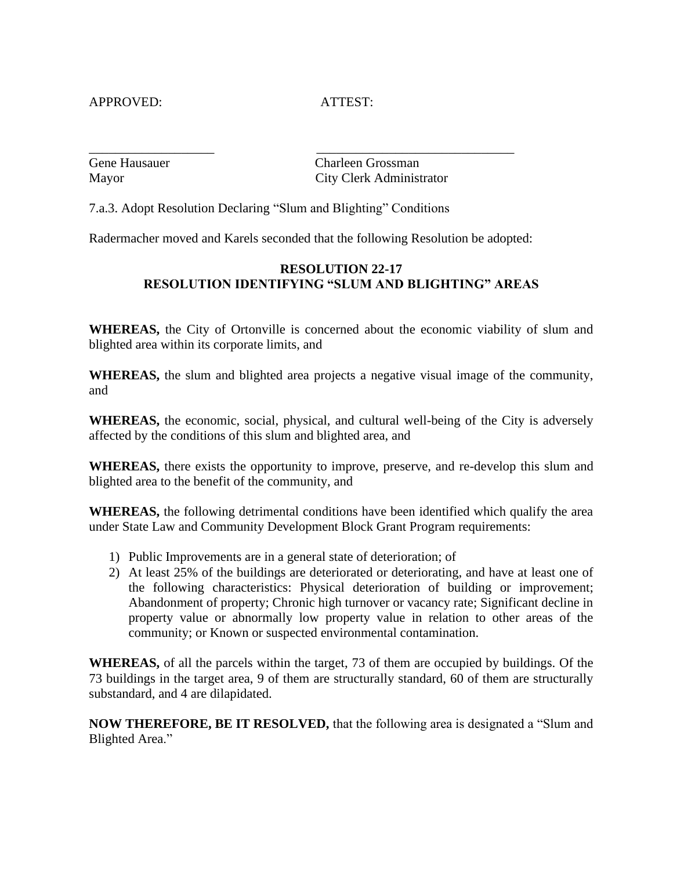APPROVED: ATTEST:

Gene Hausauer Charleen Grossman Mayor City Clerk Administrator

7.a.3. Adopt Resolution Declaring "Slum and Blighting" Conditions

Radermacher moved and Karels seconded that the following Resolution be adopted:

\_\_\_\_\_\_\_\_\_\_\_\_\_\_\_\_\_\_\_ \_\_\_\_\_\_\_\_\_\_\_\_\_\_\_\_\_\_\_\_\_\_\_\_\_\_\_\_\_\_

# **RESOLUTION 22-17 RESOLUTION IDENTIFYING "SLUM AND BLIGHTING" AREAS**

**WHEREAS,** the City of Ortonville is concerned about the economic viability of slum and blighted area within its corporate limits, and

**WHEREAS,** the slum and blighted area projects a negative visual image of the community, and

**WHEREAS,** the economic, social, physical, and cultural well-being of the City is adversely affected by the conditions of this slum and blighted area, and

**WHEREAS,** there exists the opportunity to improve, preserve, and re-develop this slum and blighted area to the benefit of the community, and

**WHEREAS,** the following detrimental conditions have been identified which qualify the area under State Law and Community Development Block Grant Program requirements:

- 1) Public Improvements are in a general state of deterioration; of
- 2) At least 25% of the buildings are deteriorated or deteriorating, and have at least one of the following characteristics: Physical deterioration of building or improvement; Abandonment of property; Chronic high turnover or vacancy rate; Significant decline in property value or abnormally low property value in relation to other areas of the community; or Known or suspected environmental contamination.

**WHEREAS,** of all the parcels within the target, 73 of them are occupied by buildings. Of the 73 buildings in the target area, 9 of them are structurally standard, 60 of them are structurally substandard, and 4 are dilapidated.

**NOW THEREFORE, BE IT RESOLVED,** that the following area is designated a "Slum and Blighted Area."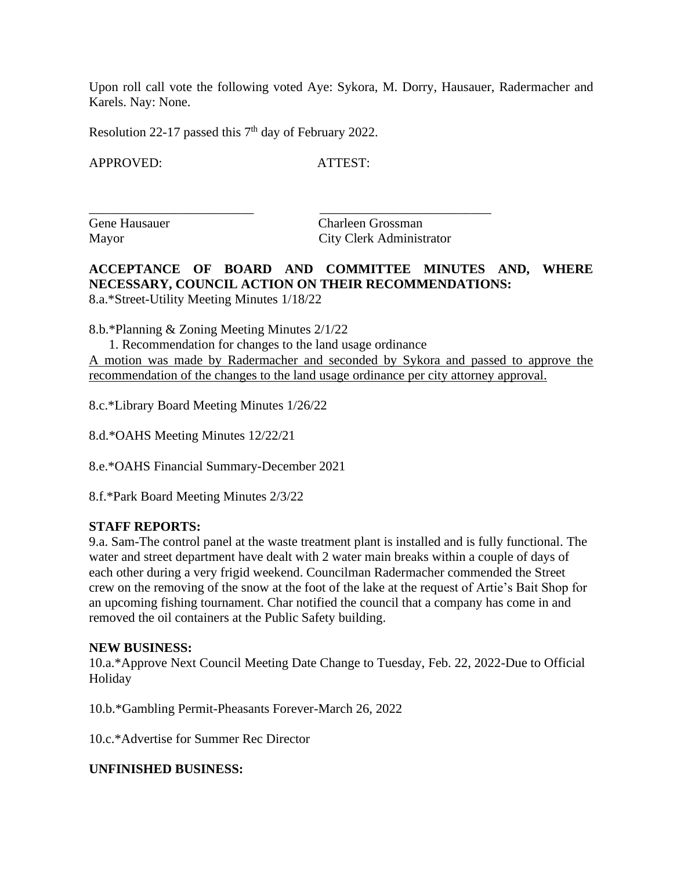Upon roll call vote the following voted Aye: Sykora, M. Dorry, Hausauer, Radermacher and Karels. Nay: None.

Resolution 22-17 passed this 7<sup>th</sup> day of February 2022.

APPROVED: ATTEST:

\_\_\_\_\_\_\_\_\_\_\_\_\_\_\_\_\_\_\_\_\_\_\_\_\_ \_\_\_\_\_\_\_\_\_\_\_\_\_\_\_\_\_\_\_\_\_\_\_\_\_\_

Gene Hausauer Charleen Grossman Mayor City Clerk Administrator

**ACCEPTANCE OF BOARD AND COMMITTEE MINUTES AND, WHERE NECESSARY, COUNCIL ACTION ON THEIR RECOMMENDATIONS:** 8.a.\*Street-Utility Meeting Minutes 1/18/22

8.b.\*Planning & Zoning Meeting Minutes 2/1/22

 1. Recommendation for changes to the land usage ordinance A motion was made by Radermacher and seconded by Sykora and passed to approve the recommendation of the changes to the land usage ordinance per city attorney approval.

8.c.\*Library Board Meeting Minutes 1/26/22

8.d.\*OAHS Meeting Minutes 12/22/21

8.e.\*OAHS Financial Summary-December 2021

8.f.\*Park Board Meeting Minutes 2/3/22

#### **STAFF REPORTS:**

9.a. Sam-The control panel at the waste treatment plant is installed and is fully functional. The water and street department have dealt with 2 water main breaks within a couple of days of each other during a very frigid weekend. Councilman Radermacher commended the Street crew on the removing of the snow at the foot of the lake at the request of Artie's Bait Shop for an upcoming fishing tournament. Char notified the council that a company has come in and removed the oil containers at the Public Safety building.

#### **NEW BUSINESS:**

10.a.\*Approve Next Council Meeting Date Change to Tuesday, Feb. 22, 2022-Due to Official Holiday

10.b.\*Gambling Permit-Pheasants Forever-March 26, 2022

10.c.\*Advertise for Summer Rec Director

#### **UNFINISHED BUSINESS:**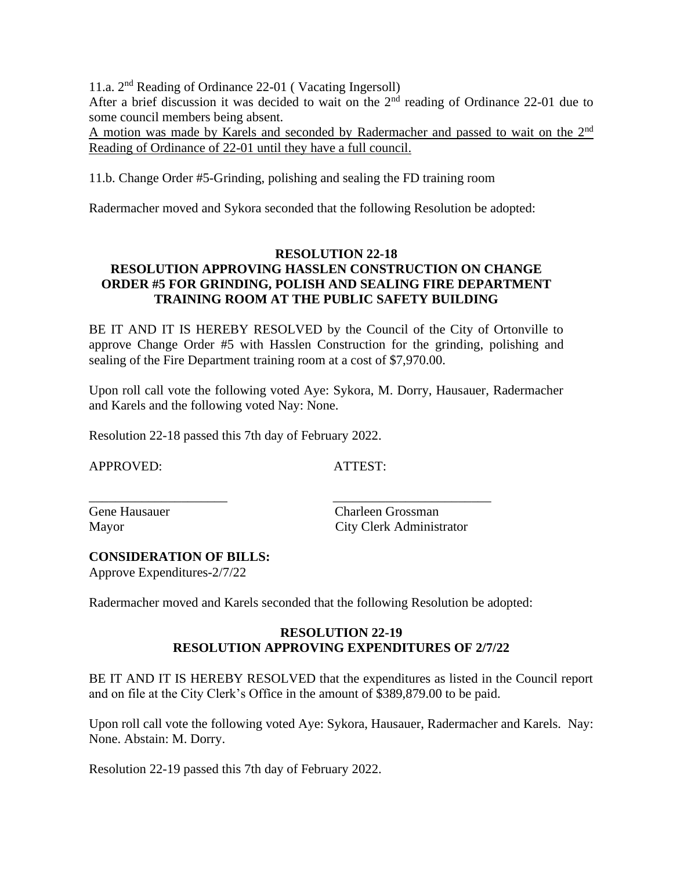11.a. 2<sup>nd</sup> Reading of Ordinance 22-01 (Vacating Ingersoll)

After a brief discussion it was decided to wait on the  $2<sup>nd</sup>$  reading of Ordinance 22-01 due to some council members being absent.

A motion was made by Karels and seconded by Radermacher and passed to wait on the  $2<sup>nd</sup>$ Reading of Ordinance of 22-01 until they have a full council.

11.b. Change Order #5-Grinding, polishing and sealing the FD training room

Radermacher moved and Sykora seconded that the following Resolution be adopted:

# **RESOLUTION 22-18 RESOLUTION APPROVING HASSLEN CONSTRUCTION ON CHANGE ORDER #5 FOR GRINDING, POLISH AND SEALING FIRE DEPARTMENT TRAINING ROOM AT THE PUBLIC SAFETY BUILDING**

BE IT AND IT IS HEREBY RESOLVED by the Council of the City of Ortonville to approve Change Order #5 with Hasslen Construction for the grinding, polishing and sealing of the Fire Department training room at a cost of \$7,970.00.

Upon roll call vote the following voted Aye: Sykora, M. Dorry, Hausauer, Radermacher and Karels and the following voted Nay: None.

Resolution 22-18 passed this 7th day of February 2022.

APPROVED: ATTEST:

\_\_\_\_\_\_\_\_\_\_\_\_\_\_\_\_\_\_\_\_\_ \_\_\_\_\_\_\_\_\_\_\_\_\_\_\_\_\_\_\_\_\_\_\_\_

Gene Hausauer Charleen Grossman Mayor City Clerk Administrator

### **CONSIDERATION OF BILLS:**

Approve Expenditures-2/7/22

Radermacher moved and Karels seconded that the following Resolution be adopted:

# **RESOLUTION 22-19 RESOLUTION APPROVING EXPENDITURES OF 2/7/22**

BE IT AND IT IS HEREBY RESOLVED that the expenditures as listed in the Council report and on file at the City Clerk's Office in the amount of \$389,879.00 to be paid.

Upon roll call vote the following voted Aye: Sykora, Hausauer, Radermacher and Karels. Nay: None. Abstain: M. Dorry.

Resolution 22-19 passed this 7th day of February 2022.